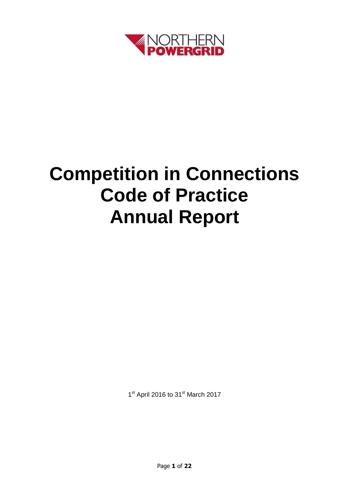

# **Competition in Connections Code of Practice Annual Report**

1<sup>st</sup> April 2016 to 31<sup>st</sup> March 2017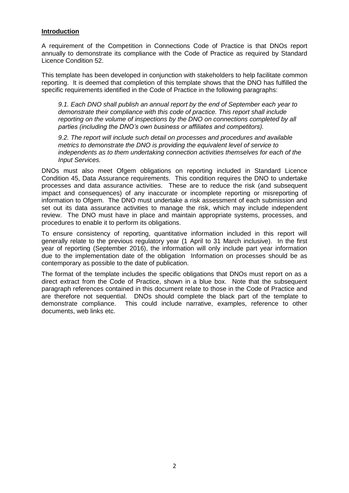#### **Introduction**

A requirement of the Competition in Connections Code of Practice is that DNOs report annually to demonstrate its compliance with the Code of Practice as required by Standard Licence Condition 52.

This template has been developed in conjunction with stakeholders to help facilitate common reporting. It is deemed that completion of this template shows that the DNO has fulfilled the specific requirements identified in the Code of Practice in the following paragraphs:

*9.1. Each DNO shall publish an annual report by the end of September each year to demonstrate their compliance with this code of practice. This report shall include reporting on the volume of inspections by the DNO on connections completed by all parties (including the DNO's own business or affiliates and competitors).* 

*9.2. The report will include such detail on processes and procedures and available metrics to demonstrate the DNO is providing the equivalent level of service to independents as to them undertaking connection activities themselves for each of the Input Services.*

DNOs must also meet Ofgem obligations on reporting included in Standard Licence Condition 45, Data Assurance requirements. This condition requires the DNO to undertake processes and data assurance activities. These are to reduce the risk (and subsequent impact and consequences) of any inaccurate or incomplete reporting or misreporting of information to Ofgem. The DNO must undertake a risk assessment of each submission and set out its data assurance activities to manage the risk, which may include independent review. The DNO must have in place and maintain appropriate systems, processes, and procedures to enable it to perform its obligations.

To ensure consistency of reporting, quantitative information included in this report will generally relate to the previous regulatory year (1 April to 31 March inclusive). In the first year of reporting (September 2016), the information will only include part year information due to the implementation date of the obligation Information on processes should be as contemporary as possible to the date of publication.

The format of the template includes the specific obligations that DNOs must report on as a direct extract from the Code of Practice, shown in a blue box. Note that the subsequent paragraph references contained in this document relate to those in the Code of Practice and are therefore not sequential. DNOs should complete the black part of the template to demonstrate compliance. This could include narrative, examples, reference to other documents, web links etc.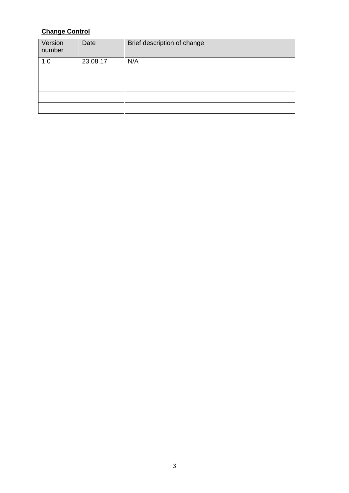## **Change Control**

| Version<br>number | Date     | Brief description of change |
|-------------------|----------|-----------------------------|
| 1.0               | 23.08.17 | N/A                         |
|                   |          |                             |
|                   |          |                             |
|                   |          |                             |
|                   |          |                             |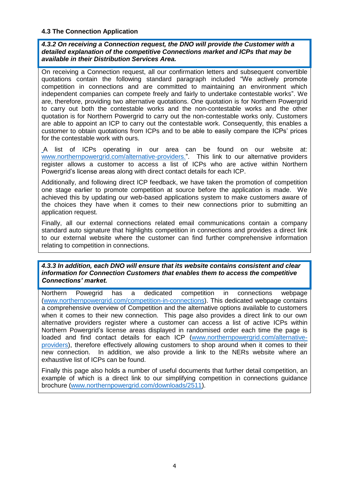#### **4.3 The Connection Application**

*4.3.2 On receiving a Connection request, the DNO will provide the Customer with a detailed explanation of the competitive Connections market and ICPs that may be available in their Distribution Services Area.*

On receiving a Connection request, all our confirmation letters and subsequent convertible quotations contain the following standard paragraph included "We actively promote competition in connections and are committed to maintaining an environment which independent companies can compete freely and fairly to undertake contestable works". We are, therefore, providing two alternative quotations. One quotation is for Northern Powergrid to carry out both the contestable works and the non-contestable works and the other quotation is for Northern Powergrid to carry out the non-contestable works only. Customers are able to appoint an ICP to carry out the contestable work. Consequently, this enables a customer to obtain quotations from ICPs and to be able to easily compare the ICPs' prices for the contestable work with ours.

A list of ICPs operating in our area can be found on our website at: [www.northernpowergrid.com/alternative-providers.](file://ad03.local/shares/Quality%20Assurance/Connections/Letters/Major%20work/1.%20Draft%20dual%20quote%20-%20HV/www.northernpowergrid.com/alternative-providers)". This link to our alternative providers register allows a customer to access a list of ICPs who are active within Northern Powergrid's license areas along with direct contact details for each ICP.

Additionally, and following direct ICP feedback, we have taken the promotion of competition one stage earlier to promote competition at source before the application is made. We achieved this by updating our web-based applications system to make customers aware of the choices they have when it comes to their new connections prior to submitting an application request.

Finally, all our external connections related email communications contain a company standard auto signature that highlights competition in connections and provides a direct link to our external website where the customer can find further comprehensive information relating to competition in connections.

#### *4.3.3 In addition, each DNO will ensure that its website contains consistent and clear information for Connection Customers that enables them to access the competitive Connections' market.*

Northern Powegrid has a dedicated competition in connections webpage [\(www.northernpowergrid.com/competition-in-connections\)](http://www.northernpowergrid.com/competition-in-connections). This dedicated webpage contains a comprehensive overview of Competition and the alternative options available to customers when it comes to their new connection. This page also provides a direct link to our own alternative providers register where a customer can access a list of active ICPs within Northern Powergrid's license areas displayed in randomised order each time the page is loaded and find contact details for each ICP [\(www.northernpowergrid.com/alternative](http://www.northernpowergrid.com/alternative-providers)[providers\)](http://www.northernpowergrid.com/alternative-providers), therefore effectively allowing customers to shop around when it comes to their new connection. In addition, we also provide a link to the NERs website where an exhaustive list of ICPs can be found.

Finally this page also holds a number of useful documents that further detail competition, an example of which is a direct link to our simplifying competition in connections guidance brochure [\(www.northernpowergrid.com/downloads/2511\)](http://www.northernpowergrid.com/downloads/2511).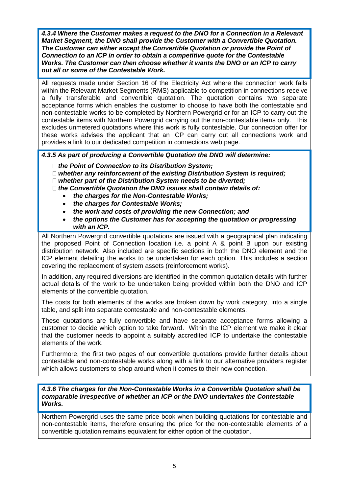*4.3.4 Where the Customer makes a request to the DNO for a Connection in a Relevant Market Segment, the DNO shall provide the Customer with a Convertible Quotation. The Customer can either accept the Convertible Quotation or provide the Point of Connection to an ICP in order to obtain a competitive quote for the Contestable Works. The Customer can then choose whether it wants the DNO or an ICP to carry out all or some of the Contestable Work.*

All requests made under Section 16 of the Electricity Act where the connection work falls within the Relevant Market Segments (RMS) applicable to competition in connections receive a fully transferable and convertible quotation. The quotation contains two separate acceptance forms which enables the customer to choose to have both the contestable and non-contestable works to be completed by Northern Powergrid or for an ICP to carry out the contestable items with Northern Powergrid carrying out the non-contestable items only. This excludes unmetered quotations where this work is fully contestable. Our connection offer for these works advises the applicant that an ICP can carry out all connections work and provides a link to our dedicated competition in connections web page.

*4.3.5 As part of producing a Convertible Quotation the DNO will determine:* 

- *the Point of Connection to its Distribution System;*
- *whether any reinforcement of the existing Distribution System is required;*
- *whether part of the Distribution System needs to be diverted;*

*the Convertible Quotation the DNO issues shall contain details of:* 

- *the charges for the Non-Contestable Works;*
- *the charges for Contestable Works;*
- *the work and costs of providing the new Connection; and*
- *the options the Customer has for accepting the quotation or progressing with an ICP.*

All Northern Powergrid convertible quotations are issued with a geographical plan indicating the proposed Point of Connection location i.e. a point A & point B upon our existing distribution network. Also included are specific sections in both the DNO element and the ICP element detailing the works to be undertaken for each option. This includes a section covering the replacement of system assets (reinforcement works).

In addition, any required diversions are identified in the common quotation details with further actual details of the work to be undertaken being provided within both the DNO and ICP elements of the convertible quotation.

The costs for both elements of the works are broken down by work category, into a single table, and split into separate contestable and non-contestable elements.

These quotations are fully convertible and have separate acceptance forms allowing a customer to decide which option to take forward. Within the ICP element we make it clear that the customer needs to appoint a suitably accredited ICP to undertake the contestable elements of the work.

Furthermore, the first two pages of our convertible quotations provide further details about contestable and non-contestable works along with a link to our alternative providers register which allows customers to shop around when it comes to their new connection.

*4.3.6 The charges for the Non-Contestable Works in a Convertible Quotation shall be comparable irrespective of whether an ICP or the DNO undertakes the Contestable Works.*

Northern Powergrid uses the same price book when building quotations for contestable and non-contestable items, therefore ensuring the price for the non-contestable elements of a convertible quotation remains equivalent for either option of the quotation.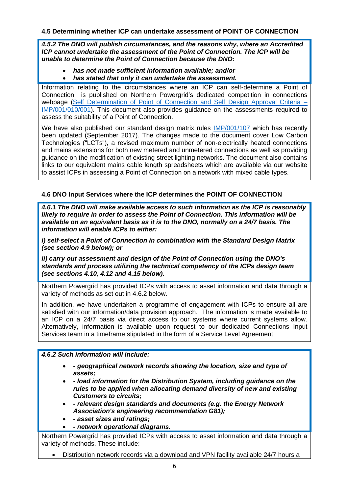#### **4.5 Determining whether ICP can undertake assessment of POINT OF CONNECTION**

*4.5.2 The DNO will publish circumstances, and the reasons why, where an Accredited ICP cannot undertake the assessment of the Point of Connection. The ICP will be unable to determine the Point of Connection because the DNO:* 

### *has not made sufficient information available; and/or*

*has stated that only it can undertake the assessment.*

Information relating to the circumstances where an ICP can self-determine a Point of Connection is published on Northern Powergrid's dedicated competition in connections webpage [\(Self Determination of Point of Connection and Self Design Approval Criteria](http://www.northernpowergrid.com/asset/0/document/1984.pdf) – IMP/001/010/001). This document also provides guidance on the assessments required to assess the suitability of a Point of Connection.

We have also published our standard design matrix rules [IMP/001/107](http://www.northernpowergrid.com/downloads/3612) which has recently been updated (September 2017). The changes made to the document cover Low Carbon Technologies ("LCTs"), a revised maximum number of non-electrically heated connections and mains extensions for both new metered and unmetered connections as well as providing guidance on the modification of existing street lighting networks. The document also contains links to our equivalent mains cable length spreadsheets which are available via our website to assist ICPs in assessing a Point of Connection on a network with mixed cable types.

#### **4.6 DNO Input Services where the ICP determines the POINT OF CONNECTION**

*4.6.1 The DNO will make available access to such information as the ICP is reasonably likely to require in order to assess the Point of Connection. This information will be available on an equivalent basis as it is to the DNO, normally on a 24/7 basis. The information will enable ICPs to either:* 

*i) self-select a Point of Connection in combination with the Standard Design Matrix (see section 4.9 below); or* 

*ii) carry out assessment and design of the Point of Connection using the DNO's standards and process utilizing the technical competency of the ICPs design team (see sections 4.10, 4.12 and 4.15 below).*

Northern Powergrid has provided ICPs with access to asset information and data through a variety of methods as set out in 4.6.2 below.

In addition, we have undertaken a programme of engagement with ICPs to ensure all are satisfied with our information/data provision approach. The information is made available to an ICP on a 24/7 basis via direct access to our systems where current systems allow. Alternatively, information is available upon request to our dedicated Connections Input Services team in a timeframe stipulated in the form of a Service Level Agreement.

#### *4.6.2 Such information will include:*

- *- geographical network records showing the location, size and type of assets;*
- *- load information for the Distribution System, including guidance on the rules to be applied when allocating demand diversity of new and existing Customers to circuits;*
- *- relevant design standards and documents (e.g. the Energy Network Association's engineering recommendation G81);*
- *- asset sizes and ratings;*
- *- network operational diagrams.*

Northern Powergrid has provided ICPs with access to asset information and data through a variety of methods. These include:

Distribution network records via a download and VPN facility available 24/7 hours a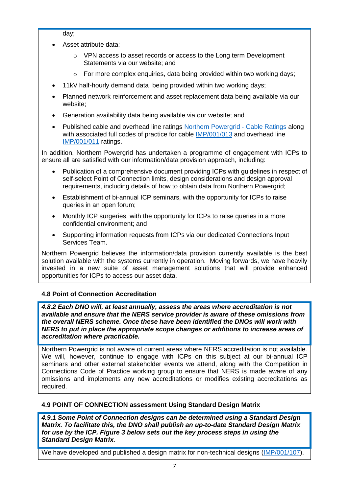day;

- Asset attribute data:
	- o VPN access to asset records or access to the Long term Development Statements via our website; and
	- $\circ$  For more complex enquiries, data being provided within two working days;
- 11kV half-hourly demand data being provided within two working days;
- Planned network reinforcement and asset replacement data being available via our website;
- Generation availability data being available via our website; and
- Published cable and overhead line ratings [Northern Powergrid](http://www.northernpowergrid.com/asset/2/document/2485.xlsx) ‐ Cable Ratings along with associated full codes of practice for cable [IMP/001/013](http://www.northernpowergrid.com/asset/0/document/3299.pdf) and overhead line [IMP/001/011](http://www.northernpowergrid.com/asset/0/document/1995.pdf) ratings.

In addition, Northern Powergrid has undertaken a programme of engagement with ICPs to ensure all are satisfied with our information/data provision approach, including:

- Publication of a comprehensive document providing ICPs with guidelines in respect of self-select Point of Connection limits, design considerations and design approval requirements, including details of how to obtain data from Northern Powergrid;
- Establishment of bi-annual ICP seminars, with the opportunity for ICPs to raise queries in an open forum;
- Monthly ICP surgeries, with the opportunity for ICPs to raise queries in a more confidential environment; and
- Supporting information requests from ICPs via our dedicated Connections Input Services Team.

Northern Powergrid believes the information/data provision currently available is the best solution available with the systems currently in operation. Moving forwards, we have heavily invested in a new suite of asset management solutions that will provide enhanced opportunities for ICPs to access our asset data.

#### **4.8 Point of Connection Accreditation**

*4.8.2 Each DNO will, at least annually, assess the areas where accreditation is not available and ensure that the NERS service provider is aware of these omissions from the overall NERS scheme. Once these have been identified the DNOs will work with NERS to put in place the appropriate scope changes or additions to increase areas of accreditation where practicable.*

Northern Powergrid is not aware of current areas where NERS accreditation is not available. We will, however, continue to engage with ICPs on this subject at our bi-annual ICP seminars and other external stakeholder events we attend, along with the Competition in Connections Code of Practice working group to ensure that NERS is made aware of any omissions and implements any new accreditations or modifies existing accreditations as required.

#### **4.9 POINT OF CONNECTION assessment Using Standard Design Matrix**

*4.9.1 Some Point of Connection designs can be determined using a Standard Design Matrix. To facilitate this, the DNO shall publish an up-to-date Standard Design Matrix for use by the ICP. Figure 3 below sets out the key process steps in using the Standard Design Matrix.*

We have developed and published a design matrix for non-technical designs [\(IMP/001/107\)](http://www.northernpowergrid.com/downloads/3612).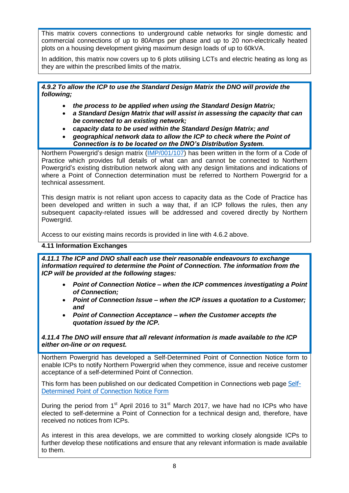This matrix covers connections to underground cable networks for single domestic and commercial connections of up to 80Amps per phase and up to 20 non-electrically heated plots on a housing development giving maximum design loads of up to 60kVA.

In addition, this matrix now covers up to 6 plots utilising LCTs and electric heating as long as they are within the prescribed limits of the matrix.

#### *4.9.2 To allow the ICP to use the Standard Design Matrix the DNO will provide the following;*

- *the process to be applied when using the Standard Design Matrix;*
- *a Standard Design Matrix that will assist in assessing the capacity that can be connected to an existing network;*
- *capacity data to be used within the Standard Design Matrix; and*
- *geographical network data to allow the ICP to check where the Point of Connection is to be located on the DNO's Distribution System.*

Northern Powergrid's design matrix [\(IMP/001/107\)](http://www.northernpowergrid.com/downloads/3612) has been written in the form of a Code of Practice which provides full details of what can and cannot be connected to Northern Powergrid's existing distribution network along with any design limitations and indications of where a Point of Connection determination must be referred to Northern Powergrid for a technical assessment.

This design matrix is not reliant upon access to capacity data as the Code of Practice has been developed and written in such a way that, if an ICP follows the rules, then any subsequent capacity-related issues will be addressed and covered directly by Northern Powergrid.

Access to our existing mains records is provided in line with 4.6.2 above.

#### **4.11 Information Exchanges**

*4.11.1 The ICP and DNO shall each use their reasonable endeavours to exchange information required to determine the Point of Connection. The information from the ICP will be provided at the following stages:* 

- *Point of Connection Notice – when the ICP commences investigating a Point of Connection;*
- *Point of Connection Issue – when the ICP issues a quotation to a Customer; and*
- *Point of Connection Acceptance – when the Customer accepts the quotation issued by the ICP.*

#### *4.11.4 The DNO will ensure that all relevant information is made available to the ICP either on-line or on request.*

Northern Powergrid has developed a Self-Determined Point of Connection Notice form to enable ICPs to notify Northern Powergrid when they commence, issue and receive customer acceptance of a self-determined Point of Connection.

This form has been published on our dedicated Competition in Connections web page [Self-](http://www.northernpowergrid.com/downloads/2629)[Determined Point of Connection Notice Form](http://www.northernpowergrid.com/downloads/2629)

During the period from  $1<sup>st</sup>$  April 2016 to  $31<sup>st</sup>$  March 2017, we have had no ICPs who have elected to self-determine a Point of Connection for a technical design and, therefore, have received no notices from ICPs.

As interest in this area develops, we are committed to working closely alongside ICPs to further develop these notifications and ensure that any relevant information is made available to them.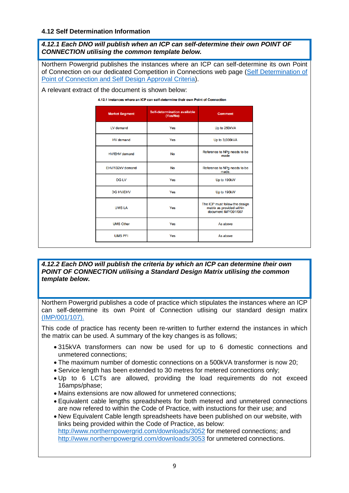#### **4.12 Self Determination Information**

*4.12.1 Each DNO will publish when an ICP can self-determine their own POINT OF CONNECTION utilising the common template below.*

Northern Powergrid publishes the instances where an ICP can self-determine its own Point of Connection on our dedicated Competition in Connections web page [\(Self Determination of](http://www.northernpowergrid.com/downloads/2456)  [Point of Connection and Self Design Approval Criteria\)](http://www.northernpowergrid.com/downloads/2456).

A relevant extract of the document is shown below:

4.12.1 Instances where an ICP can self-determine their own Point of Connection

| <b>Market Segment</b> | Self-determination available<br>(Yes/No) | <b>Comment</b>                                                                      |
|-----------------------|------------------------------------------|-------------------------------------------------------------------------------------|
| LV demand             | Yes                                      | Up to 250kVA                                                                        |
| HV demand             | Yes                                      | Up to 3,000kVA                                                                      |
| <b>HV/EHV</b> demand  | <b>No</b>                                | Reference to NPg needs to be<br>made                                                |
| EHV/132kV demand      | <b>No</b>                                | Reference to NPg needs to be<br>made.                                               |
| <b>DG LV</b>          | Yes                                      | Up to 190kW                                                                         |
| <b>DG HV/EHV</b>      | Yes                                      | Up to 190kW                                                                         |
| <b>UMSLA</b>          | Yes                                      | The ICP must follow the design<br>matrix as provided within<br>document IMP/001/007 |
| <b>UMS Other</b>      | Yes                                      | As above                                                                            |
| <b>UMS PFI</b>        | Yes                                      | As above                                                                            |

*4.12.2 Each DNO will publish the criteria by which an ICP can determine their own POINT OF CONNECTION utilising a Standard Design Matrix utilising the common template below.*

Northern Powergrid publishes a code of practice which stipulates the instances where an ICP can self-determine its own Point of Connection utlising our standard design matirx [\(IMP/001/107\).](http://www.northernpowergrid.com/downloads/3612)

This code of practice has recenty been re-written to further externd the instances in which the matrix can be used. A summary of the key changes is as follows;

- 315kVA transformers can now be used for up to 6 domestic connections and unmetered connections;
- The maximum number of domestic connections on a 500kVA transformer is now 20;
- Service length has been extended to 30 metres for metered connections only;
- Up to 6 LCTs are allowed, providing the load requirements do not exceed 16amps/phase;
- Mains extensions are now allowed for unmetered connections;
- Equivalent cable lengths spreadsheets for both metered and unmetered connections are now refered to within the Code of Practice, with instuctions for their use; and

 New Equivalent Cable length spreadsheets have been published on our website, with links being provided within the Code of Practice, as below: <http://www.northernpowergrid.com/downloads/3052> for metered connections; and <http://www.northernpowergrid.com/downloads/3053> for unmetered connections.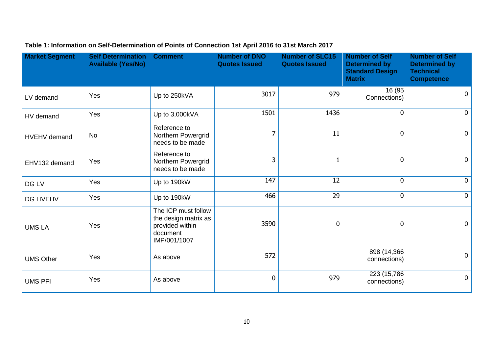| <b>Market Segment</b> | <b>Self Determination</b><br><b>Available (Yes/No)</b> | <b>Comment</b>                                                                             | <b>Number of DNO</b><br><b>Quotes Issued</b> | <b>Number of SLC15</b><br><b>Quotes Issued</b> | <b>Number of Self</b><br><b>Determined by</b><br><b>Standard Design</b><br><b>Matrix</b> | <b>Number of Self</b><br><b>Determined by</b><br><b>Technical</b><br><b>Competence</b> |
|-----------------------|--------------------------------------------------------|--------------------------------------------------------------------------------------------|----------------------------------------------|------------------------------------------------|------------------------------------------------------------------------------------------|----------------------------------------------------------------------------------------|
| LV demand             | Yes                                                    | Up to 250kVA                                                                               | 3017                                         | 979                                            | 16 (95<br>Connections)                                                                   | $\overline{0}$                                                                         |
| HV demand             | Yes                                                    | Up to 3,000kVA                                                                             | 1501                                         | 1436                                           | $\mathbf{0}$                                                                             | $\overline{0}$                                                                         |
| HVEHV demand          | <b>No</b>                                              | Reference to<br>Northern Powergrid<br>needs to be made                                     | 7                                            | 11                                             | $\mathbf 0$                                                                              | $\overline{0}$                                                                         |
| EHV132 demand         | Yes                                                    | Reference to<br>Northern Powergrid<br>needs to be made                                     | 3                                            | $\mathbf{1}$                                   | $\mathbf 0$                                                                              | $\overline{0}$                                                                         |
| DG LV                 | Yes                                                    | Up to 190kW                                                                                | 147                                          | 12                                             | $\mathbf 0$                                                                              | $\overline{0}$                                                                         |
| DG HVEHV              | Yes                                                    | Up to 190kW                                                                                | 466                                          | 29                                             | $\overline{0}$                                                                           | $\overline{0}$                                                                         |
| <b>UMS LA</b>         | Yes                                                    | The ICP must follow<br>the design matrix as<br>provided within<br>document<br>IMP/001/1007 | 3590                                         | $\mathbf 0$                                    | $\Omega$                                                                                 | $\overline{0}$                                                                         |
| <b>UMS Other</b>      | Yes                                                    | As above                                                                                   | 572                                          |                                                | 898 (14,366)<br>connections)                                                             | $\overline{0}$                                                                         |
| <b>UMS PFI</b>        | Yes                                                    | As above                                                                                   | 0                                            | 979                                            | 223 (15,786)<br>connections)                                                             | $\overline{0}$                                                                         |

## **Table 1: Information on Self-Determination of Points of Connection 1st April 2016 to 31st March 2017**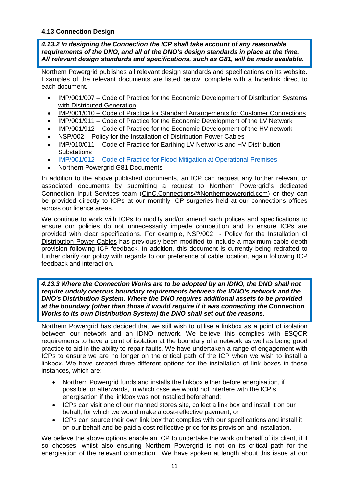#### **4.13 Connection Design**

*4.13.2 In designing the Connection the ICP shall take account of any reasonable requirements of the DNO, and all of the DNO's design standards in place at the time. All relevant design standards and specifications, such as G81, will be made available.*

Northern Powergrid publishes all relevant design standards and specifications on its website. Examples of the relevant documents are listed below, complete with a hyperlink direct to each document.

- IMP/001/007 [Code of Practice for the Economic Development of Distribution Systems](http://www.northernpowergrid.com/asset/0/document/1678.pdf)  [with Distributed Generation](http://www.northernpowergrid.com/asset/0/document/1678.pdf)
- IMP/001/010 [Code of Practice for Standard Arrangements for Customer Connections](http://www.northernpowergrid.com/asset/0/document/1824.pdf)
- IMP/001/911 [Code of Practice for the Economic Development of the LV Network](http://www.northernpowergrid.com/asset/0/document/109.pdf)
- IMP/001/912 [Code of Practice for the Economic Development of the HV network](http://www.northernpowergrid.com/asset/0/document/111.pdf)
- NSP/002 [Policy for the Installation of Distribution Power Cables](http://www.northernpowergrid.com/asset/0/document/1855.pdf)
- IMP/010/011 [Code of Practice for Earthing LV Networks and HV Distribution](http://www.northernpowergrid.com/asset/0/document/104.pdf)  **[Substations](http://www.northernpowergrid.com/asset/0/document/104.pdf)**
- IMP/001/012 [Code of Practice for Flood Mitigation at Operational Premises](http://www.northernpowergrid.com/asset/0/document/1991.pdf)
- [Northern Powergrid G81 Documents](http://www.northernpowergrid.com/document-library/)

In addition to the above published documents, an ICP can request any further relevant or associated documents by submitting a request to Northern Powergrid's dedicated Connection Input Services team [\(CinC.Connections@Northernpowergrid.com\)](mailto:CinC.Connections@Northernpowergrid.com) or they can be provided directly to ICPs at our monthly ICP surgeries held at our connections offices across our licence areas.

We continue to work with ICPs to modify and/or amend such polices and specifications to ensure our policies do not unnecessarily impede competition and to ensure ICPs are provided with clear specifications. For example, NSP/002 - [Policy for the Installation of](http://www.northernpowergrid.com/asset/0/document/1855.pdf)  [Distribution Power](http://www.northernpowergrid.com/asset/0/document/1855.pdf) Cables has previously been modified to include a maximum cable depth provision following ICP feedback. In addition, this document is currently being redrafted to further clarify our policy with regards to our preference of cable location, again following ICP feedback and interaction.

*4.13.3 Where the Connection Works are to be adopted by an IDNO, the DNO shall not require unduly onerous boundary requirements between the IDNO's network and the DNO's Distribution System. Where the DNO requires additional assets to be provided at the boundary (other than those it would require if it was connecting the Connection Works to its own Distribution System) the DNO shall set out the reasons.*

Northern Powergrid has decided that we still wish to utilise a linkbox as a point of isolation between our network and an IDNO network. We believe this complies with ESQCR requirements to have a point of isolation at the boundary of a network as well as being good practice to aid in the ability to repair faults. We have undertaken a range of engagement with ICPs to ensure we are no longer on the critical path of the ICP when we wish to install a linkbox. We have created three different options for the installation of link boxes in these instances, which are:

- Northern Powergrid funds and installs the linkbox either before energisation, if possible, or afterwards, in which case we would not interfere with the ICP's energisation if the linkbox was not installed beforehand;
- ICPs can visit one of our manned stores site, collect a link box and install it on our behalf, for which we would make a cost-reflective payment; or
- ICPs can source their own link box that complies with our specifications and install it on our behalf and be paid a cost relflective price for its provision and installation.

We believe the above options enable an ICP to undertake the work on behalf of its client, if it so chooses, whilst also ensuring Northern Powergrid is not on its critical path for the energisation of the relevant connection. We have spoken at length about this issue at our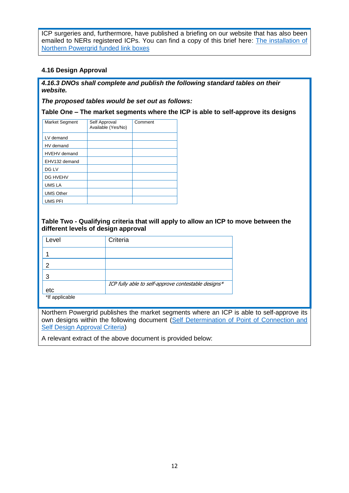ICP surgeries and, furthermore, have published a briefing on our website that has also been emailed to NERs registered ICPs. You can find a copy of this brief here: [The installation of](http://www.northernpowergrid.com/downloads/2486)  [Northern Powergrid](http://www.northernpowergrid.com/downloads/2486) funded link boxes

#### **4.16 Design Approval**

*4.16.3 DNOs shall complete and publish the following standard tables on their website.*

*The proposed tables would be set out as follows:*

**Table One – The market segments where the ICP is able to self-approve its designs** 

| Market Segment      | Self Approval      | Comment |
|---------------------|--------------------|---------|
|                     | Available (Yes/No) |         |
|                     |                    |         |
|                     |                    |         |
| LV demand           |                    |         |
| HV demand           |                    |         |
|                     |                    |         |
| <b>HVEHV</b> demand |                    |         |
|                     |                    |         |
| EHV132 demand       |                    |         |
| DG LV               |                    |         |
|                     |                    |         |
| <b>DG HVEHV</b>     |                    |         |
|                     |                    |         |
| UMS LA              |                    |         |
| <b>UMS Other</b>    |                    |         |
|                     |                    |         |
| UMS PFI             |                    |         |
|                     |                    |         |

#### **Table Two - Qualifying criteria that will apply to allow an ICP to move between the different levels of design approval**

| Level          | Criteria                                            |
|----------------|-----------------------------------------------------|
|                |                                                     |
| 2              |                                                     |
| 3              |                                                     |
|                | ICP fully able to self-approve contestable designs* |
| etc            |                                                     |
| *If applicable |                                                     |

Northern Powergrid publishes the market segments where an ICP is able to self-approve its own designs within the following document (Self Determination of Point of Connection and [Self Design Approval Criteria\)](http://www.northernpowergrid.com/downloads/2456)

A relevant extract of the above document is provided below: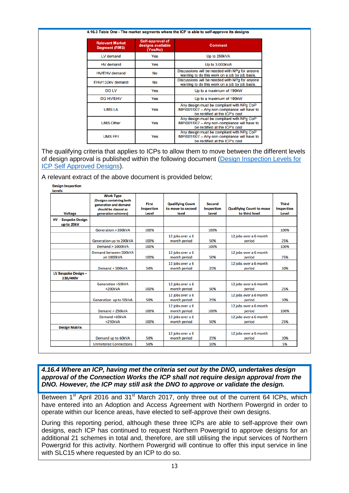#### 4.16.3 Table One - The market segments where the ICP is able to self-approve its designs

| <b>Relevant Market</b><br><b>Segment (RMS)</b> | Self-approval of<br>designs available<br>(Yes/No) | <b>Comment</b>                                                                                                               |
|------------------------------------------------|---------------------------------------------------|------------------------------------------------------------------------------------------------------------------------------|
| LV demand                                      | Yes                                               | Up to 250kVA                                                                                                                 |
| HV demand                                      | Yes                                               | Up to 3,000kVA                                                                                                               |
| <b>HV/EHV</b> demand                           | <b>No</b>                                         | Discussions will be needed with NPq for anyone<br>wanting to do this work on a job by job basis.                             |
| EHV/132kV demand                               | No                                                | Discussions will be needed with NPq for anyone<br>wanting to do this work on a job by job basis.                             |
| <b>DG LV</b>                                   | Yes                                               | Up to a maximum of 190kW                                                                                                     |
| <b>DG HV/EHV</b>                               | Yes                                               | Up to a maximum of 190kW                                                                                                     |
| <b>UMSLA</b><br>Yes                            |                                                   | Any design must be compliant with NPg CoP<br>IMP/001/007 - Any non-compliance will have to<br>be rectified at the ICP's cost |
| <b>UMS Other</b><br>Yes                        |                                                   | Any design must be compliant with NPg CoP<br>IMP/001/007 - Any non-compliance will have to<br>be rectified at the ICP's cost |
| <b>UMS PFI</b>                                 | Yes                                               | Any design must be compliant with NPg CoP<br>IMP/001/007 - Any non-compliance will have to<br>be rectified at the ICP's cost |

The qualifying criteria that applies to ICPs to allow them to move between the different levels of design approval is published within the following document [\(Design Inspection Levels for](http://www.northernpowergrid.com/downloads/2175)  [ICP Self Approved Designs\)](http://www.northernpowergrid.com/downloads/2175).

#### A relevant extract of the above document is provided below;

| <b>Voltage</b>                           | <b>Work Type</b><br>(Designs containing both<br>generation and demand<br>should be classed as<br>generation schemes) | <b>First</b><br><b>Inspection</b><br>Level | <b>Qualifying Count</b><br>to move to second<br>level | <b>Second</b><br><b>Inspection</b><br>Level | <b>Qualifying Count to move</b><br>to third level | <b>Third</b><br><b>Inspection</b><br><b>Level</b> |
|------------------------------------------|----------------------------------------------------------------------------------------------------------------------|--------------------------------------------|-------------------------------------------------------|---------------------------------------------|---------------------------------------------------|---------------------------------------------------|
| <b>HV</b> - Bespoke Design<br>up to 20kV |                                                                                                                      |                                            |                                                       |                                             |                                                   |                                                   |
|                                          | Generation > 200kVA                                                                                                  | 100%                                       |                                                       | 100%                                        |                                                   | 100%                                              |
|                                          | Generation up to 200kVA                                                                                              | 100%                                       | 12 jobs over a 6<br>month period                      | 50%                                         | 12 jobs over a 6 month<br>period                  | 25%                                               |
|                                          | Demand > 1000kVA                                                                                                     | 100%                                       |                                                       | 100%                                        |                                                   | 100%                                              |
|                                          | Demand between 500kVA<br>an 1000kVA                                                                                  | 100%                                       | 12 jobs over a 6<br>month period                      | 50%                                         | 12 jobs over a 6 month<br>period                  | 25%                                               |
|                                          | Demand < 500kVA                                                                                                      | 50%                                        | 12 jobs over a 6<br>month period                      | 25%                                         | 12 jobs over a 6 month<br>period                  | 10%                                               |
| LV Bespoke Design-<br>230/400V           |                                                                                                                      |                                            |                                                       |                                             |                                                   |                                                   |
|                                          | <b>Generation &gt;50kVA</b><br>$<$ 200 $kVA$                                                                         | 100%                                       | 12 jobs over a 6<br>month period                      | 50%                                         | 12 jobs over a 6 month<br>period                  | 25%                                               |
|                                          | Generation up to 50kVA                                                                                               | 50%                                        | 12 jobs over a 6<br>month period                      | 25%                                         | 12 jobs over a 6 month<br>period                  | 10%                                               |
|                                          | Demand > 250kVA                                                                                                      | 100%                                       | 12 jobs over a 6<br>month period                      | 100%                                        | 12 jobs over a 6 month<br>period                  | 100%                                              |
|                                          | Demand >60kVA<br>$<$ 250 $kVA$                                                                                       | 100%                                       | 12 jobs over a 6<br>month period                      | 50%                                         | 12 jobs over a 6 month<br>period                  | 25%                                               |
| <b>Design Matrix</b>                     |                                                                                                                      |                                            |                                                       |                                             |                                                   |                                                   |
|                                          | Demand up to 60kVA                                                                                                   | 50%                                        | 12 jobs over a 6<br>month period                      | 25%                                         | 12 jobs over a 6 month<br>period                  | 10%                                               |
|                                          | <b>Unmetered Connections</b>                                                                                         | 50%                                        |                                                       | 10%                                         |                                                   | 5%                                                |

*4.16.4 Where an ICP, having met the criteria set out by the DNO, undertakes design approval of the Connection Works the ICP shall not require design approval from the DNO. However, the ICP may still ask the DNO to approve or validate the design.*

Between 1<sup>st</sup> April 2016 and 31<sup>st</sup> March 2017, only three out of the current 64 ICPs, which have entered into an Adoption and Access Agreement with Northern Powergrid in order to operate within our licence areas, have elected to self-approve their own designs.

During this reporting period, although these three ICPs are able to self-approve their own designs, each ICP has continued to request Northern Powergrid to approve designs for an additional 21 schemes in total and, therefore, are still utilising the input services of Northern Powergrid for this activity. Northern Powergrid will continue to offer this input service in line with SLC15 where requested by an ICP to do so.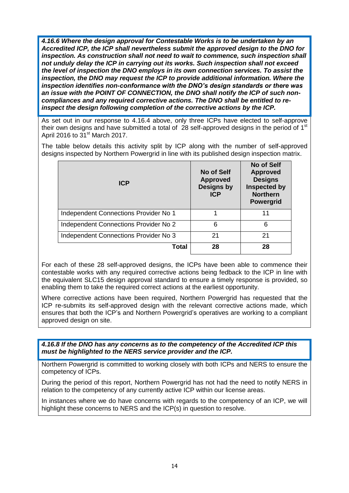*4.16.6 Where the design approval for Contestable Works is to be undertaken by an Accredited ICP, the ICP shall nevertheless submit the approved design to the DNO for inspection. As construction shall not need to wait to commence, such inspection shall not unduly delay the ICP in carrying out its works. Such inspection shall not exceed the level of inspection the DNO employs in its own connection services. To assist the inspection, the DNO may request the ICP to provide additional information. Where the inspection identifies non-conformance with the DNO's design standards or there was an issue with the POINT OF CONNECTION, the DNO shall notify the ICP of such noncompliances and any required corrective actions. The DNO shall be entitled to reinspect the design following completion of the corrective actions by the ICP.*

As set out in our response to 4.16.4 above, only three ICPs have elected to self-approve their own designs and have submitted a total of  $28$  self-approved designs in the period of 1<sup>st</sup> April 2016 to  $31<sup>st</sup>$  March 2017.

The table below details this activity split by ICP along with the number of self-approved designs inspected by Northern Powergrid in line with its published design inspection matrix.

| <b>ICP</b>                            | No of Self<br><b>Approved</b><br><b>Designs by</b><br><b>ICP</b> | <b>No of Self</b><br><b>Approved</b><br><b>Designs</b><br><b>Inspected by</b><br><b>Northern</b><br><b>Powergrid</b> |
|---------------------------------------|------------------------------------------------------------------|----------------------------------------------------------------------------------------------------------------------|
| Independent Connections Provider No 1 |                                                                  | 11                                                                                                                   |
| Independent Connections Provider No 2 | 6                                                                | 6                                                                                                                    |
| Independent Connections Provider No 3 | 21                                                               | 21                                                                                                                   |
| Total                                 | 28                                                               | 28                                                                                                                   |

For each of these 28 self-approved designs, the ICPs have been able to commence their contestable works with any required corrective actions being fedback to the ICP in line with the equivalent SLC15 design approval standard to ensure a timely response is provided, so enabling them to take the required correct actions at the earliest opportunity.

Where corrective actions have been required, Northern Powergrid has requested that the ICP re-submits its self-approved design with the relevant corrective actions made, which ensures that both the ICP's and Northern Powergrid's operatives are working to a compliant approved design on site.

*4.16.8 If the DNO has any concerns as to the competency of the Accredited ICP this must be highlighted to the NERS service provider and the ICP.*

Northern Powergrid is committed to working closely with both ICPs and NERS to ensure the competency of ICPs.

During the period of this report, Northern Powergrid has not had the need to notify NERS in relation to the competency of any currently active ICP within our license areas.

In instances where we do have concerns with regards to the competency of an ICP, we will highlight these concerns to NERS and the ICP(s) in question to resolve.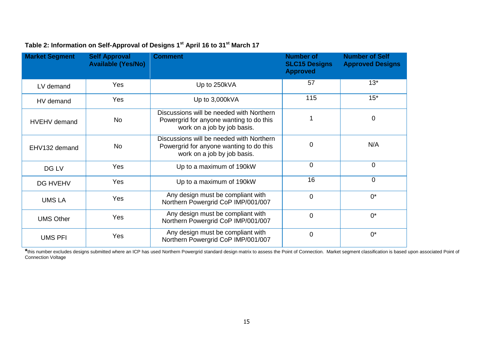| <b>Market Segment</b> | <b>Self Approval</b><br><b>Available (Yes/No)</b> | <b>Comment</b>                                                                                                     | <b>Number of</b><br><b>SLC15 Designs</b><br><b>Approved</b> | <b>Number of Self</b><br><b>Approved Designs</b> |
|-----------------------|---------------------------------------------------|--------------------------------------------------------------------------------------------------------------------|-------------------------------------------------------------|--------------------------------------------------|
| LV demand             | Yes                                               | Up to 250kVA                                                                                                       | 57                                                          | $13*$                                            |
| HV demand             | Yes                                               | Up to 3,000kVA                                                                                                     | 115                                                         | $15*$                                            |
| <b>HVEHV</b> demand   | <b>No</b>                                         | Discussions will be needed with Northern<br>Powergrid for anyone wanting to do this<br>work on a job by job basis. | 1                                                           | 0                                                |
| EHV132 demand         | <b>No</b>                                         | Discussions will be needed with Northern<br>Powergrid for anyone wanting to do this<br>work on a job by job basis. | 0                                                           | N/A                                              |
| DG LV                 | Yes                                               | Up to a maximum of 190kW                                                                                           | 0                                                           | $\mathbf 0$                                      |
| <b>DG HVEHV</b>       | Yes                                               | Up to a maximum of 190kW                                                                                           | 16                                                          | 0                                                |
| <b>UMS LA</b>         | Yes                                               | Any design must be compliant with<br>Northern Powergrid CoP IMP/001/007                                            | $\overline{0}$                                              | $0^*$                                            |
| <b>UMS Other</b>      | Yes                                               | Any design must be compliant with<br>Northern Powergrid CoP IMP/001/007                                            | $\overline{0}$                                              | $0^*$                                            |
| <b>UMS PFI</b>        | Yes                                               | Any design must be compliant with<br>Northern Powergrid CoP IMP/001/007                                            | $\mathbf 0$                                                 | $0^*$                                            |

#### **Table 2: Information on Self-Approval of Designs 1 st April 16 to 31st March 17**

\*this number excludes designs submitted where an ICP has used Northern Powergrid standard design matrix to assess the Point of Connection. Market segment classification is based upon associated Point of Connection Voltage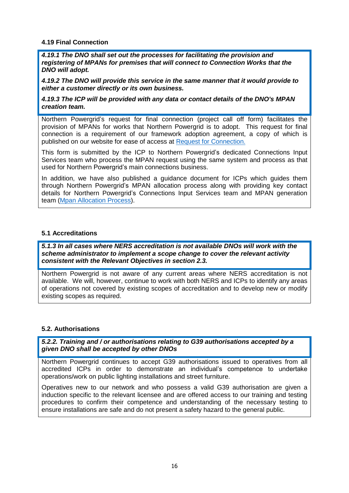#### **4.19 Final Connection**

*4.19.1 The DNO shall set out the processes for facilitating the provision and registering of MPANs for premises that will connect to Connection Works that the DNO will adopt.* 

*4.19.2 The DNO will provide this service in the same manner that it would provide to either a customer directly or its own business.* 

*4.19.3 The ICP will be provided with any data or contact details of the DNO's MPAN creation team.*

Northern Powergrid's request for final connection (project call off form) facilitates the provision of MPANs for works that Northern Powergrid is to adopt. This request for final connection is a requirement of our framework adoption agreement, a copy of which is published on our website for ease of access at [Request for Connection.](http://www.northernpowergrid.com/downloads/2494)

This form is submitted by the ICP to Northern Powergrid's dedicated Connections Input Services team who process the MPAN request using the same system and process as that used for Northern Powergrid's main connections business.

In addition, we have also published a guidance document for ICPs which guides them through Northern Powergrid's MPAN allocation process along with providing key contact details for Northern Powergrid's Connections Input Services team and MPAN generation team [\(Mpan Allocation Process\)](http://www.northernpowergrid.com/downloads/1869).

#### **5.1 Accreditations**

*5.1.3 In all cases where NERS accreditation is not available DNOs will work with the scheme administrator to implement a scope change to cover the relevant activity consistent with the Relevant Objectives in section 2.3.*

Northern Powergrid is not aware of any current areas where NERS accreditation is not available. We will, however, continue to work with both NERS and ICPs to identify any areas of operations not covered by existing scopes of accreditation and to develop new or modify existing scopes as required.

#### **5.2. Authorisations**

*5.2.2. Training and / or authorisations relating to G39 authorisations accepted by a given DNO shall be accepted by other DNOs* 

Northern Powergrid continues to accept G39 authorisations issued to operatives from all accredited ICPs in order to demonstrate an individual's competence to undertake operations/work on public lighting installations and street furniture.

Operatives new to our network and who possess a valid G39 authorisation are given a induction specific to the relevant licensee and are offered access to our training and testing procedures to confirm their competence and understanding of the necessary testing to ensure installations are safe and do not present a safety hazard to the general public.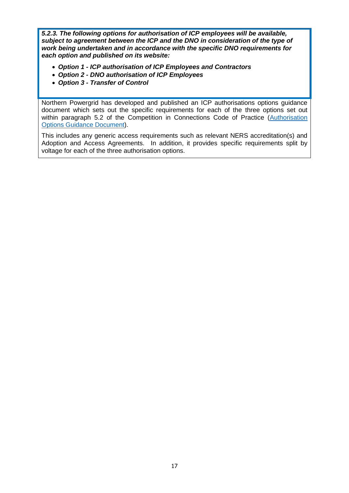*5.2.3. The following options for authorisation of ICP employees will be available, subject to agreement between the ICP and the DNO in consideration of the type of work being undertaken and in accordance with the specific DNO requirements for each option and published on its website:*

- *Option 1 - ICP authorisation of ICP Employees and Contractors*
- *Option 2 - DNO authorisation of ICP Employees*
- *Option 3 - Transfer of Control*

Northern Powergrid has developed and published an ICP authorisations options guidance document which sets out the specific requirements for each of the three options set out within paragraph 5.2 of the Competition in Connections Code of Practice (Authorisation [Options Guidance Document\)](http://www.northernpowergrid.com/downloads/2967).

This includes any generic access requirements such as relevant NERS accreditation(s) and Adoption and Access Agreements. In addition, it provides specific requirements split by voltage for each of the three authorisation options.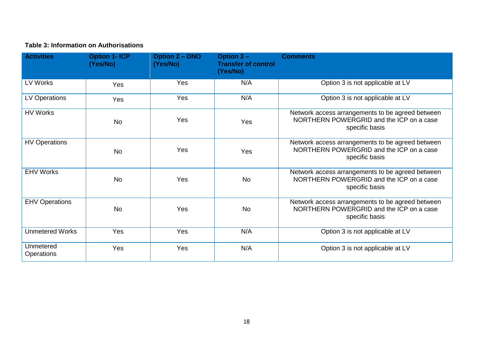#### **Table 3: Information on Authorisations**

| <b>Activities</b>              | <b>Option 1- ICP</b><br>(Yes/No) | <b>Option 2 - DNO</b><br>(Yes/No) | Option $3 -$<br><b>Transfer of control</b><br>(Yes/No) | <b>Comments</b>                                                                                                |
|--------------------------------|----------------------------------|-----------------------------------|--------------------------------------------------------|----------------------------------------------------------------------------------------------------------------|
| LV Works                       | Yes                              | Yes                               | N/A                                                    | Option 3 is not applicable at LV                                                                               |
| <b>LV Operations</b>           | Yes                              | Yes                               | N/A                                                    | Option 3 is not applicable at LV                                                                               |
| <b>HV Works</b>                | <b>No</b>                        | Yes                               | Yes                                                    | Network access arrangements to be agreed between<br>NORTHERN POWERGRID and the ICP on a case<br>specific basis |
| <b>HV Operations</b>           | <b>No</b>                        | Yes                               | Yes                                                    | Network access arrangements to be agreed between<br>NORTHERN POWERGRID and the ICP on a case<br>specific basis |
| <b>EHV Works</b>               | <b>No</b>                        | Yes                               | <b>No</b>                                              | Network access arrangements to be agreed between<br>NORTHERN POWERGRID and the ICP on a case<br>specific basis |
| <b>EHV Operations</b>          | <b>No</b>                        | Yes                               | <b>No</b>                                              | Network access arrangements to be agreed between<br>NORTHERN POWERGRID and the ICP on a case<br>specific basis |
| <b>Unmetered Works</b>         | Yes                              | Yes                               | N/A                                                    | Option 3 is not applicable at LV                                                                               |
| Unmetered<br><b>Operations</b> | Yes                              | Yes                               | N/A                                                    | Option 3 is not applicable at LV                                                                               |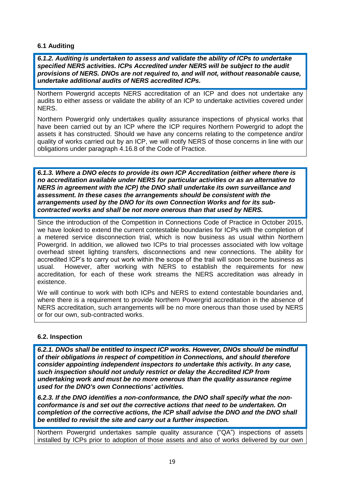#### **6.1 Auditing**

*6.1.2. Auditing is undertaken to assess and validate the ability of ICPs to undertake specified NERS activities. ICPs Accredited under NERS will be subject to the audit provisions of NERS. DNOs are not required to, and will not, without reasonable cause, undertake additional audits of NERS accredited ICPs.*

Northern Powergrid accepts NERS accreditation of an ICP and does not undertake any audits to either assess or validate the ability of an ICP to undertake activities covered under NERS.

Northern Powergrid only undertakes quality assurance inspections of physical works that have been carried out by an ICP where the ICP requires Northern Powergrid to adopt the assets it has constructed. Should we have any concerns relating to the competence and/or quality of works carried out by an ICP, we will notify NERS of those concerns in line with our obligations under paragraph 4.16.8 of the Code of Practice.

*6.1.3. Where a DNO elects to provide its own ICP Accreditation (either where there is no accreditation available under NERS for particular activities or as an alternative to NERS in agreement with the ICP) the DNO shall undertake its own surveillance and assessment. In these cases the arrangements should be consistent with the arrangements used by the DNO for its own Connection Works and for its subcontracted works and shall be not more onerous than that used by NERS.*

Since the introduction of the Competition in Connections Code of Practice in October 2015, we have looked to extend the current contestable boundaries for ICPs with the completion of a metered service disconnection trial, which is now business as usual within Northern Powergrid. In addition, we allowed two ICPs to trial processes associated with low voltage overhead street lighting transfers, disconnections and new connections. The ability for accredited ICP's to carry out work within the scope of the trail will soon become business as usual. However, after working with NERS to establish the requirements for new accreditation, for each of these work streams the NERS accreditation was already in existence.

We will continue to work with both ICPs and NERS to extend contestable boundaries and, where there is a requirement to provide Northern Powergrid accreditation in the absence of NERS accreditation, such arrangements will be no more onerous than those used by NERS or for our own, sub-contracted works.

#### **6.2. Inspection**

*6.2.1. DNOs shall be entitled to inspect ICP works. However, DNOs should be mindful of their obligations in respect of competition in Connections, and should therefore consider appointing independent inspectors to undertake this activity. In any case, such inspection should not unduly restrict or delay the Accredited ICP from undertaking work and must be no more onerous than the quality assurance regime used for the DNO's own Connections' activities.* 

*6.2.3. If the DNO identifies a non-conformance, the DNO shall specify what the nonconformance is and set out the corrective actions that need to be undertaken. On completion of the corrective actions, the ICP shall advise the DNO and the DNO shall be entitled to revisit the site and carry out a further inspection.*

Northern Powergrid undertakes sample quality assurance ("QA") inspections of assets installed by ICPs prior to adoption of those assets and also of works delivered by our own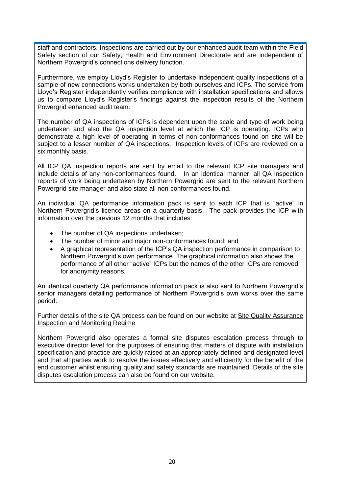staff and contractors. Inspections are carried out by our enhanced audit team within the Field Safety section of our Safety, Health and Environment Directorate and are independent of Northern Powergrid's connections delivery function.

Furthermore, we employ Lloyd's Register to undertake independent quality inspections of a sample of new connections works undertaken by both ourselves and ICPs. The service from Lloyd's Register independently verifies compliance with installation specifications and allows us to compare Lloyd's Register's findings against the inspection results of the Northern Powergrid enhanced audit team.

The number of QA inspections of ICPs is dependent upon the scale and type of work being undertaken and also the QA inspection level at which the ICP is operating. ICPs who demonstrate a high level of operating in terms of non-conformances found on site will be subject to a lesser number of QA inspections. Inspection levels of ICPs are reviewed on a six monthly basis.

All ICP QA inspection reports are sent by email to the relevant ICP site managers and include details of any non-conformances found. In an identical manner, all QA inspection reports of work being undertaken by Northern Powergrid are sent to the relevant Northern Powergrid site manager and also state all non-conformances found.

An individual QA performance information pack is sent to each ICP that is "active" in Northern Powergrid's licence areas on a quarterly basis. The pack provides the ICP with information over the previous 12 months that includes:

- The number of QA inspections undertaken;
- The number of minor and major non-conformances found; and
- A graphical representation of the ICP's QA inspection performance in comparison to Northern Powergrid's own performance. The graphical information also shows the performance of all other "active" ICPs but the names of the other ICPs are removed for anonymity reasons.

An identical quarterly QA performance information pack is also sent to Northern Powergrid's senior managers detailing performance of Northern Powergrid's own works over the same period.

Further details of the site QA process can be found on our website at [Site Quality Assurance](http://www.northernpowergrid.com/downloads/1974)  [Inspection and Monitoring Regime](http://www.northernpowergrid.com/downloads/1974)

Northern Powergrid also operates a formal site disputes escalation process through to executive director level for the purposes of ensuring that matters of dispute with installation specification and practice are quickly raised at an appropriately defined and designated level and that all parties work to resolve the issues effectively and efficiently for the benefit of the end customer whilst ensuring quality and safety standards are maintained. Details of the site disputes escalation process can also be found on our website.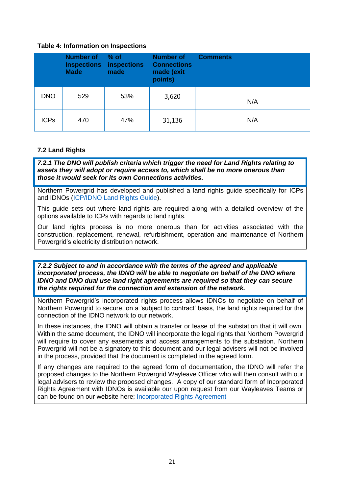#### **Table 4: Information on Inspections**

|             | <b>Number of</b><br><b>Made</b> | — % of<br><b>Inspections inspections</b><br>made | <b>Number of</b><br><b>Connections</b><br>made (exit<br>points) | <b>Comments</b> |
|-------------|---------------------------------|--------------------------------------------------|-----------------------------------------------------------------|-----------------|
| <b>DNO</b>  | 529                             | 53%                                              | 3,620                                                           | N/A             |
| <b>ICPs</b> | 470                             | 47%                                              | 31,136                                                          | N/A             |

#### **7.2 Land Rights**

*7.2.1 The DNO will publish criteria which trigger the need for Land Rights relating to assets they will adopt or require access to, which shall be no more onerous than those it would seek for its own Connections activities.* 

Northern Powergrid has developed and published a land rights guide specifically for ICPs and IDNOs [\(ICP/IDNO Land Rights Guide\)](http://www.northernpowergrid.com/downloads/3446).

This guide sets out where land rights are required along with a detailed overview of the options available to ICPs with regards to land rights.

Our land rights process is no more onerous than for activities associated with the construction, replacement, renewal, refurbishment, operation and maintenance of Northern Powergrid's electricity distribution network.

*7.2.2 Subject to and in accordance with the terms of the agreed and applicable incorporated process, the IDNO will be able to negotiate on behalf of the DNO where IDNO and DNO dual use land right agreements are required so that they can secure the rights required for the connection and extension of the network.* 

Northern Powergrid's incorporated rights process allows IDNOs to negotiate on behalf of Northern Powergrid to secure, on a 'subject to contract' basis, the land rights required for the connection of the IDNO network to our network.

In these instances, the IDNO will obtain a transfer or lease of the substation that it will own. Within the same document, the IDNO will incorporate the legal rights that Northern Powergrid will require to cover any easements and access arrangements to the substation. Northern Powergrid will not be a signatory to this document and our legal advisers will not be involved in the process, provided that the document is completed in the agreed form.

If any changes are required to the agreed form of documentation, the IDNO will refer the proposed changes to the Northern Powergrid Wayleave Officer who will then consult with our legal advisers to review the proposed changes. A copy of our standard form of Incorporated Rights Agreement with IDNOs is available our upon request from our Wayleaves Teams or can be found on our website here; [Incorporated Rights Agreement](http://www.northernpowergrid.com/downloads/1920)